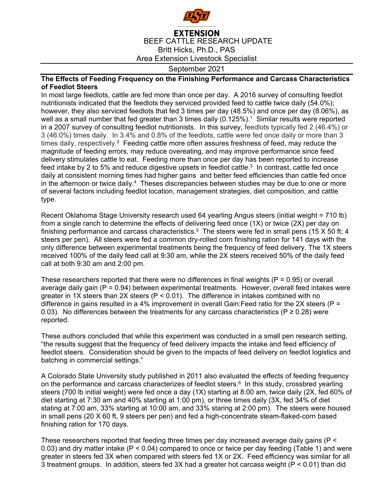

## **EXTENSION** BEEF CATTLE RESEARCH UPDATE Britt Hicks, Ph.D., PAS Area Extension Livestock Specialist

September 2021

## **The Effects of Feeding Frequency on the Finishing Performance and Carcass Characteristics of Feedlot Steers**

In most large feedlots, cattle are fed more than once per day. A 2016 survey of consulting feedlot nutritionists indicated that the feedlots they serviced provided feed to cattle twice daily (54.0%); however, they also serviced feedlots that fed 3 times per day (48.5%) and once per day (8.06%), as well as a small number that fed greater than 3 times daily  $(0.125\%)$ .<sup>1</sup> Similar results were reported in a 2007 survey of consulting feedlot nutritionists. In this survey, feedlots typically fed 2 (46.4%) or 3 (46.0%) times daily. In 3.4% and 0.8% of the feedlots, cattle were fed once daily or more than 3 times daily, respectively.<sup>2</sup> Feeding cattle more often assures freshness of feed, may reduce the magnitude of feeding errors, may reduce overeating, and may improve performance since feed delivery stimulates cattle to eat. Feeding more than once per day has been reported to increase feed intake by 2 to 5% and reduce digestive upsets in feedlot cattle.<sup>3</sup> In contrast, cattle fed once daily at consistent morning times had higher gains and better feed efficiencies than cattle fed once in the afternoon or twice daily.4 Theses discrepancies between studies may be due to one or more of several factors including feedlot location, management strategies, diet composition, and cattle type.

Recent Oklahoma Stage University research used 64 yearling Angus steers (initial weight = 710 lb) from a single ranch to determine the effects of delivering feed once (1X) or twice (2X) per day on finishing performance and carcass characteristics.<sup>5</sup> The steers were fed in small pens (15 X 50 ft; 4 steers per pen). All steers were fed a common dry-rolled corn finishing ration for 141 days with the only difference between experimental treatments being the frequency of feed delivery. The 1X steers received 100% of the daily feed call at 9:30 am, while the 2X steers received 50% of the daily feed call at both 9:30 am and 2:00 pm.

These researchers reported that there were no differences in final weights  $(P = 0.95)$  or overall average daily gain ( $P = 0.94$ ) between experimental treatments. However, overall feed intakes were greater in 1X steers than 2X steers (P < 0.01). The difference in intakes combined with no difference in gains resulted in a 4% improvement in overall Gain: Feed ratio for the 2X steers ( $P =$ 0.03). No differences between the treatments for any carcass characteristics ( $P \ge 0.28$ ) were reported.

These authors concluded that while this experiment was conducted in a small pen research setting, "the results suggest that the frequency of feed delivery impacts the intake and feed efficiency of feedlot steers. Consideration should be given to the impacts of feed delivery on feedlot logistics and batching in commercial settings."

A Colorado State University study published in 2011 also evaluated the effects of feeding frequency on the performance and carcass characterizes of feedlot steers. $6 \text{ In this study, crossed }$  yearling steers (700 lb initial weight) were fed once a day (1X) starting at 8:00 am, twice daily (2X, fed 60% of diet starting at 7:30 am and 40% starting at 1:00 pm), or three times daily (3X, fed 34% of diet stating at 7:00 am, 33% starting at 10:00 am, and 33% staring at 2:00 pm). The steers were housed in small pens (20 X 60 ft, 9 steers per pen) and fed a high-concentrate steam-flaked-corn based finishing ration for 170 days.

These researchers reported that feeding three times per day increased average daily gains (P < 0.03) and dry matter intake (P < 0.04) compared to once or twice per day feeding (Table 1) and were greater in steers fed 3X when compared with steers fed 1X or 2X. Feed efficiency was similar for all 3 treatment groups. In addition, steers fed 3X had a greater hot carcass weight (P < 0.01) than did